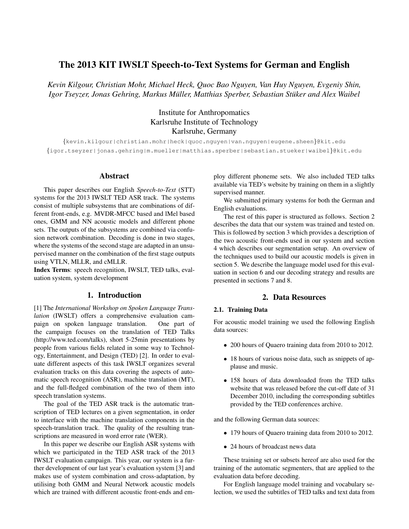# The 2013 KIT IWSLT Speech-to-Text Systems for German and English

*Kevin Kilgour, Christian Mohr, Michael Heck, Quoc Bao Nguyen, Van Huy Nguyen, Evgeniy Shin, Igor Tseyzer, Jonas Gehring, Markus Müller, Matthias Sperber, Sebastian Stüker and Alex Waibel* 

> Institute for Anthropomatics Karlsruhe Institute of Technology Karlsruhe, Germany

*{*kevin.kilgour|christian.mohr|heck|quoc.nguyen|van.nguyen|eugene.sheen*}*@kit.edu *{*igor.tseyzer|jonas.gehring|m.mueller|matthias.sperber|sebastian.stueker|waibel*}*@kit.edu

### Abstract

This paper describes our English *Speech-to-Text* (STT) systems for the 2013 IWSLT TED ASR track. The systems consist of multiple subsystems that are combinations of different front-ends, e.g. MVDR-MFCC based and lMel based ones, GMM and NN acoustic models and different phone sets. The outputs of the subsystems are combined via confusion network combination. Decoding is done in two stages, where the systems of the second stage are adapted in an unsupervised manner on the combination of the first stage outputs using VTLN, MLLR, and cMLLR.

Index Terms: speech recognition, IWSLT, TED talks, evaluation system, system development

# 1. Introduction

[1] The *International Workshop on Spoken Language Translation* (IWSLT) offers a comprehensive evaluation campaign on spoken language translation. One part of the campaign focuses on the translation of TED Talks (http://www.ted.com/talks), short 5-25min presentations by people from various fields related in some way to Technology, Entertainment, and Design (TED) [2]. In order to evaluate different aspects of this task IWSLT organizes several evaluation tracks on this data covering the aspects of automatic speech recognition (ASR), machine translation (MT), and the full-fledged combination of the two of them into speech translation systems.

The goal of the TED ASR track is the automatic transcription of TED lectures on a given segmentation, in order to interface with the machine translation components in the speech-translation track. The quality of the resulting transcriptions are measured in word error rate (WER).

In this paper we describe our English ASR systems with which we participated in the TED ASR track of the 2013 IWSLT evaluation campaign. This year, our system is a further development of our last year's evaluation system [3] and makes use of system combination and cross-adaptation, by utilising both GMM and Neural Network acoustic models which are trained with different acoustic front-ends and employ different phoneme sets. We also included TED talks available via TED's website by training on them in a slightly supervised manner.

We submitted primary systems for both the German and English evaluations.

The rest of this paper is structured as follows. Section 2 describes the data that our system was trained and tested on. This is followed by section 3 which provides a description of the two acoustic front-ends used in our system and section 4 which describes our segmentation setup. An overview of the techniques used to build our acoustic models is given in section 5. We describe the language model used for this evaluation in section 6 and our decoding strategy and results are presented in sections 7 and 8.

# 2. Data Resources

### 2.1. Training Data

For acoustic model training we used the following English data sources:

- *•* 200 hours of Quaero training data from 2010 to 2012.
- *•* 18 hours of various noise data, such as snippets of applause and music.
- *•* 158 hours of data downloaded from the TED talks website that was released before the cut-off date of 31 December 2010, including the corresponding subtitles provided by the TED conferences archive.

and the following German data sources:

- *•* 179 hours of Quaero training data from 2010 to 2012.
- 24 hours of broadcast news data

These training set or subsets hereof are also used for the training of the automatic segmenters, that are applied to the evaluation data before decoding.

For English language model training and vocabulary selection, we used the subtitles of TED talks and text data from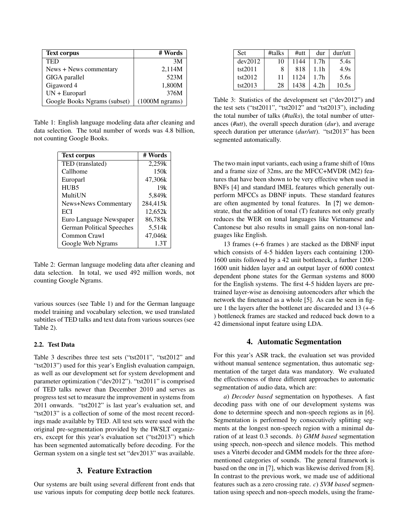| <b>Text corpus</b>           | # Words          |
|------------------------------|------------------|
| <b>TED</b>                   | 3M               |
| News + News commentary       | 2,114M           |
| GIGA parallel                | 523M             |
| Gigaword 4                   | 1,800M           |
| $UN + European$              | 376M             |
| Google Books Ngrams (subset) | $(1000M$ ngrams) |

Table 1: English language modeling data after cleaning and data selection. The total number of words was 4.8 billion, not counting Google Books.

| <b>Text corpus</b>               | # Words  |
|----------------------------------|----------|
| TED (translated)                 | 2,259k   |
| Callhome                         | 150k     |
| Europarl                         | 47,306k  |
| HUB <sub>5</sub>                 | 19k      |
| MultiUN                          | 5,849k   |
| <b>News+News Commentary</b>      | 284,415k |
| ECI                              | 12,652k  |
| Euro Language Newspaper          | 86,785k  |
| <b>German Political Speeches</b> | 5,514k   |
| Common Crawl                     | 47,046k  |
| Google Web Ngrams                | 1.3T     |

Table 2: German language modeling data after cleaning and data selection. In total, we used 492 million words, not counting Google Ngrams.

various sources (see Table 1) and for the German language model training and vocabulary selection, we used translated subtitles of TED talks and text data from various sources (see Table 2).

### 2.2. Test Data

Table 3 describes three test sets ("tst2011", "tst2012" and "tst2013") used for this year's English evaluation campaign, as well as our development set for system development and parameter optimization ("dev2012"). "tst2011" is comprised of TED talks newer than December 2010 and serves as progress test set to measure the improvement in systems from 2011 onwards. "tst2012" is last year's evaluation set, and "tst2013" is a collection of some of the most recent recordings made available by TED. All test sets were used with the original pre-segmentation provided by the IWSLT organizers, except for this year's evaluation set ("tst2013") which has been segmented automatically before decoding. For the German system on a single test set "dev2013" was available.

# 3. Feature Extraction

Our systems are built using several different front ends that use various inputs for computing deep bottle neck features.

| <b>Set</b> | #talks | $\#$ utt | dur              | dur/utt |
|------------|--------|----------|------------------|---------|
| dev2012    | 10     | 1144     | 1.7 <sub>h</sub> | 5.4s    |
| tst2011    | 8      | 818      | 1.1h             | 4.9s    |
| tst2012    | 11     | 1124     | 1.7 <sub>h</sub> | 5.6s    |
| tst2013    | 28     | 1438     | 4.2h             | 10.5s   |

Table 3: Statistics of the development set ("dev2012") and the test sets ("tst2011", "tst2012" and "tst2013"), including the total number of talks (*#talks*), the total number of utterances (*#utt*), the overall speech duration (*dur*), and average speech duration per utterance (*dur/utt*). "tst2013" has been segmented automatically.

The two main input variants, each using a frame shift of 10ms and a frame size of 32ms, are the MFCC+MVDR (M2) features that have been shown to be very effective when used in BNFs [4] and standard lMEL features which generally outperform MFCCs as DBNF inputs. These standard features are often augmented by tonal features. In [?] we demonstrate, that the addition of tonal (T) features not only greatly reduces the WER on tonal languages like Vietnamese and Cantonese but also results in small gains on non-tonal languages like English.

13 frames (+-6 frames ) are stacked as the DBNF input which consists of 4-5 hidden layers each containing 1200- 1600 units followed by a 42 unit bottleneck, a further 1200- 1600 unit hidden layer and an output layer of 6000 context dependent phone states for the German systems and 8000 for the English systems. The first 4-5 hidden layers are pretrained layer-wise as denoising autoencoders after which the network the finetuned as a whole [5]. As can be seen in figure 1 the layers after the bottlenet are discareded and 13 (+-6 ) bottleneck frames are stacked and reduced back down to a 42 dimensional input feature using LDA.

#### 4. Automatic Segmentation

For this year's ASR track, the evaluation set was provided without manual sentence segmentation, thus automatic segmentation of the target data was mandatory. We evaluated the effectiveness of three different approaches to automatic segmentation of audio data, which are:

*a*) *Decoder based* segmentation on hypotheses. A fast decoding pass with one of our development systems was done to determine speech and non-speech regions as in [6]. Segmentation is performed by consecutively splitting segments at the longest non-speech region with a minimal duration of at least 0.3 seconds. *b*) *GMM based* segmentation using speech, non-speech and silence models. This method uses a Viterbi decoder and GMM models for the three aforementioned categories of sounds. The general framework is based on the one in [7], which was likewise derived from [8]. In contrast to the previous work, we made use of additional features such as a zero crossing rate. *c*) *SVM based* segmentation using speech and non-speech models, using the frame-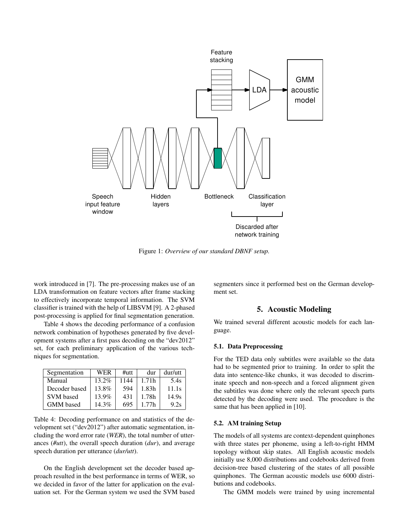

Figure 1: *Overview of our standard DBNF setup.*

work introduced in [7]. The pre-processing makes use of an LDA transformation on feature vectors after frame stacking to effectively incorporate temporal information. The SVM classifier is trained with the help of LIBSVM [9]. A 2-phased post-processing is applied for final segmentation generation.

Table 4 shows the decoding performance of a confusion network combination of hypotheses generated by five development systems after a first pass decoding on the "dev2012" set, for each preliminary application of the various techniques for segmentation.

| Segmentation     | <b>WER</b> | $\#$ utt | dur   | dur/utt |
|------------------|------------|----------|-------|---------|
| Manual           | $13.2\%$   | 1144     | 1.71h | 5.4s    |
| Decoder based    | 13.8%      | 594      | 1.83h | 11.1s   |
| <b>SVM</b> based | $13.9\%$   | 431      | 1.78h | 14.9s   |
| <b>GMM</b> based | $14.3\%$   | 695      | 1.77h | 9.2s    |

Table 4: Decoding performance on and statistics of the development set ("dev2012") after automatic segmentation, including the word error rate (*WER*), the total number of utterances (*#utt*), the overall speech duration (*dur*), and average speech duration per utterance (*dur/utt*).

On the English development set the decoder based approach resulted in the best performance in terms of WER, so we decided in favor of the latter for application on the evaluation set. For the German system we used the SVM based

segmenters since it performed best on the German development set.

# 5. Acoustic Modeling

We trained several different acoustic models for each language.

#### 5.1. Data Preprocessing

For the TED data only subtitles were available so the data had to be segmented prior to training. In order to split the data into sentence-like chunks, it was decoded to discriminate speech and non-speech and a forced alignment given the subtitles was done where only the relevant speech parts detected by the decoding were used. The procedure is the same that has been applied in [10].

#### 5.2. AM training Setup

The models of all systems are context-dependent quinphones with three states per phoneme, using a left-to-right HMM topology without skip states. All English acoustic models initially use 8,000 distributions and codebooks derived from decision-tree based clustering of the states of all possible quinphones. The German acoustic models use 6000 distributions and codebooks.

The GMM models were trained by using incremental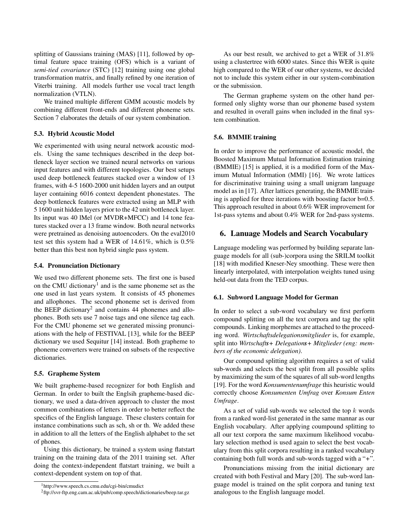splitting of Gaussians training (MAS) [11], followed by optimal feature space training (OFS) which is a variant of *semi-tied covariance* (STC) [12] training using one global transformation matrix, and finally refined by one iteration of Viterbi training. All models further use vocal tract length normalization (VTLN).

We trained multiple different GMM acoustic models by combining different front-ends and different phoneme sets. Section 7 elaborates the details of our system combination.

### 5.3. Hybrid Acoustic Model

We experimented with using neural network acoustic models. Using the same techniques described in the deep bottleneck layer section we trained neural networks on various input features and with different topologies. Our best setups used deep bottleneck features stacked over a window of 13 frames, with 4-5 1600-2000 unit hidden layers and an output layer containing 6016 context dependent phonestates. The deep bottleneck features were extracted using an MLP with 5 1600 unit hidden layers prior to the 42 unit bottleneck layer. Its input was 40 lMel (or MVDR+MFCC) and 14 tone features stacked over a 13 frame window. Both neural networks were pretrained as denoising autoencoders. On the eval2010 test set this system had a WER of 14.61%, which is 0.5% better than this best non hybrid single pass system.

#### 5.4. Pronunciation Dictionary

We used two different phoneme sets. The first one is based on the CMU dictionary<sup>1</sup> and is the same phoneme set as the one used in last years system. It consists of 45 phonemes and allophones. The second phoneme set is derived from the BEEP dictionary<sup>2</sup> and contains 44 phonemes and allophones. Both sets use 7 noise tags and one silence tag each. For the CMU phoneme set we generated missing pronunciations with the help of FESTIVAL [13], while for the BEEP dictionary we used Sequitur [14] instead. Both grapheme to phoneme converters were trained on subsets of the respective dictionaries.

#### 5.5. Grapheme System

We built grapheme-based recognizer for both English and German. In order to built the Englsih grapheme-based dictionary, we used a data-driven approach to cluster the most common combinations of letters in order to better reflect the specifics of the English language. These clusters contain for instance combinations such as sch, sh or th. We added these in addition to all the letters of the English alphabet to the set of phones.

Using this dictionary, be trained a system using flatstart training on the training data of the 2011 training set. After doing the context-independent flatstart training, we built a context-dependent system on top of that.

As our best result, we archived to get a WER of 31.8% using a clustertree with 6000 states. Since this WER is quite high compared to the WER of our other systems, we decided not to include this system either in our system-combination or the submission.

The German grapheme system on the other hand performed only slighty worse than our phoneme based system and resulted in overall gains when included in the final system combination.

#### 5.6. BMMIE training

In order to improve the performance of acoustic model, the Boosted Maximum Mutual Information Estimation training (BMMIE) [15] is applied, it is a modified form of the Maximum Mutual Information (MMI) [16]. We wrote lattices for discriminative training using a small unigram language model as in [17]. After lattices generating, the BMMIE training is applied for three iterations with boosting factor b=0.5. This approach resulted in about 0.6% WER improvement for 1st-pass sytems and about 0.4% WER for 2nd-pass systems.

## 6. Lanuage Models and Search Vocabulary

Language modeling was performed by building separate language models for all (sub-)corpora using the SRILM toolkit [18] with modified Kneser-Ney smoothing. These were then linearly interpolated, with interpolation weights tuned using held-out data from the TED corpus.

#### 6.1. Subword Language Model for German

In order to select a sub-word vocabulary we first perform compound splitting on all the text corpora and tag the split compounds. Linking morphemes are attached to the proceeding word. *Wirtschaftsdelegationsmitglieder* is, for example, split into *Wirtschafts+ Delegations+ Mitglieder (eng: members of the economic delegation)*.

Our compound splitting algorithm requires a set of valid sub-words and selects the best split from all possible splits by maximizing the sum of the squares of all sub-word lengths [19]. For the word *Konsumentenumfrage* this heuristic would correctly choose *Konsumenten Umfrag* over *Konsum Enten Umfrage*.

As a set of valid sub-words we selected the top *k* words from a ranked word-list generated in the same mannar as our English vocabulary. After applying coumpound splitting to all our text corpora the same maximum likelihood vocabulary selection method is used again to select the best vocabulary from this split corpora resulting in a ranked vocabulary containing both full words and sub-words tagged with a "*+*".

Pronunciations missing from the initial dictionary are created with both Festival and Mary [20]. The sub-word language model is trained on the split corpora and tuning text analogous to the English language model.

<sup>1</sup>http://www.speech.cs.cmu.edu/cgi-bin/cmudict

<sup>2</sup> ftp://svr-ftp.eng.cam.ac.uk/pub/comp.speech/dictionaries/beep.tar.gz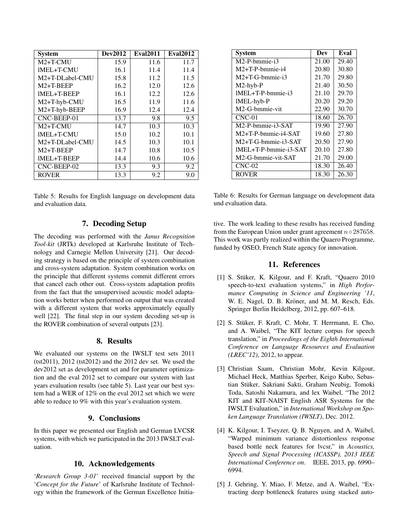| <b>System</b>     | <b>Dev2012</b> | <b>Eval2011</b> | <b>Eval2012</b> |
|-------------------|----------------|-----------------|-----------------|
| $M2+T-CMI$        | 15.9           | 11.6            | 11.7            |
| <b>IMEL+T-CMU</b> | 16.1           | 11.4            | 11.4            |
| M2+T-DLabel-CMU   | 15.8           | 11.2            | 11.5            |
| $M2+T-BEEP$       | 16.2           | 12.0            | 12.6            |
| IMEL+T-BEEP       | 16.1           | 12.2            | 12.6            |
| M2+T-hyb-CMU      | 16.5           | 11.9            | 11.6            |
| M2+T-hyb-BEEP     | 16.9           | 12.4            | 12.4            |
| CNC-BEEP-01       | 13.7           | 9.8             | 9.5             |
| $M2+T-CMI$        | 14.7           | 10.3            | 10.3            |
| IMEL+T-CMU        | 15.0           | 10.2            | 10.1            |
| M2+T-DLabel-CMU   | 14.5           | 10.3            | 10.1            |
| $M2+T-BEEP$       | 14.7           | 10.8            | 10.5            |
| IMEL+T-BEEP       | 14.4           | 10.6            | 10.6            |
| CNC-BEEP-02       | 13.3           | 9.3             | 9.2             |
| <b>ROVER</b>      | 13.3           | 9.2             | 9.0             |

Table 5: Results for English language on development data and evaluation data.

# 7. Decoding Setup

The decoding was performed with the *Janus Recognition Tool-kit* (JRTk) developed at Karlsruhe Institute of Technology and Carnegie Mellon University [21]. Our decoding strategy is based on the principle of system combination and cross-system adaptation. System combination works on the principle that different systems commit different errors that cancel each other out. Cross-system adaptation profits from the fact that the unsupervised acoustic model adaptation works better when performed on output that was created with a different system that works approximately equally well [22]. The final step in our system decoding set-up is the ROVER combination of several outputs [23].

# 8. Results

We evaluated our systems on the IWSLT test sets 2011 (tst2011), 2012 (tst2012) and the 2012 dev set. We used the dev2012 set as development set and for parameter optimization and the eval 2012 set to compare our system with last years evaluation results (see table 5). Last year our best system had a WER of 12% on the eval 2012 set which we were able to reduce to 9% with this year's evaluation system.

# 9. Conclusions

In this paper we presented our English and German LVCSR systems, with which we participated in the 2013 IWSLT evaluation.

## 10. Acknowledgements

'*Research Group 3-01*' received financial support by the '*Concept for the Future*' of Karlsruhe Institute of Technology within the framework of the German Excellence Initia-

| <b>System</b>         | Dev   | Eval  |
|-----------------------|-------|-------|
| M2-P-bmmie-i3         | 21.00 | 29.40 |
| $M2+T-P-hmmie-i4$     | 20.80 | 30.80 |
| $M2+T-G-hmmie-i3$     | 21.70 | 29.80 |
| $M2-hyb-P$            | 21.40 | 30.50 |
| $IMEL+T-P-hmmie-i3$   | 21.10 | 29.70 |
| lMEL-hyb-P            | 20.20 | 29.20 |
| M2-G-bmmie-vit        | 22.90 | 30.70 |
| $CNC-01$              | 18.60 | 26.70 |
| M2-P-bmmie-i3-SAT     | 19.90 | 27.90 |
| $M2+T-P-hmmie-i4-SAT$ | 19.60 | 27.80 |
| $M2+T-G-bmmie-i3-SAT$ | 20.50 | 27.90 |
| 1MEL+T-P-bmmie-i3-SAT | 20.10 | 27.80 |
| M2-G-bmmie-vit-SAT    | 21.70 | 29.00 |
| $CNC-02$              | 18.30 | 26.40 |
| <b>ROVER</b>          | 18.30 | 26.30 |

Table 6: Results for German language on development data und evaluation data.

tive. The work leading to these results has received funding from the European Union under grant agreement *n◦* 287658. This work was partly realized within the Quaero Programme, funded by OSEO, French State agency for innovation.

## 11. References

- [1] S. Stüker, K. Kilgour, and F. Kraft, "Quaero 2010 speech-to-text evaluation systems," in *High Performance Computing in Science and Engineering '11*, W. E. Nagel, D. B. Kröner, and M. M. Resch, Eds. Springer Berlin Heidelberg, 2012, pp. 607–618.
- [2] S. Stüker, F. Kraft, C. Mohr, T. Herrmann, E. Cho, and A. Waibel, "The KIT lecture corpus for speech translation," in *Proceedings of the Eighth International Conference on Language Resources and Evaluation (LREC'12)*, 2012, to appear.
- [3] Christian Saam, Christian Mohr, Kevin Kilgour, Michael Heck, Matthias Sperber, Keigo Kubo, Sebastian Stüker, Sakriani Sakti, Graham Neubig, Tomoki Toda, Satoshi Nakamura, and lex Waibel, "The 2012 KIT and KIT-NAIST English ASR Systems for the IWSLT Evaluation," in *International Workshop on Spoken Language Translation (IWSLT)*, Dec. 2012.
- [4] K. Kilgour, I. Tseyzer, Q. B. Nguyen, and A. Waibel, "Warped minimum variance distortionless response based bottle neck features for lvcsr," in *Acoustics, Speech and Signal Processing (ICASSP), 2013 IEEE International Conference on*. IEEE, 2013, pp. 6990– 6994.
- [5] J. Gehring, Y. Miao, F. Metze, and A. Waibel, "Extracting deep bottleneck features using stacked auto-